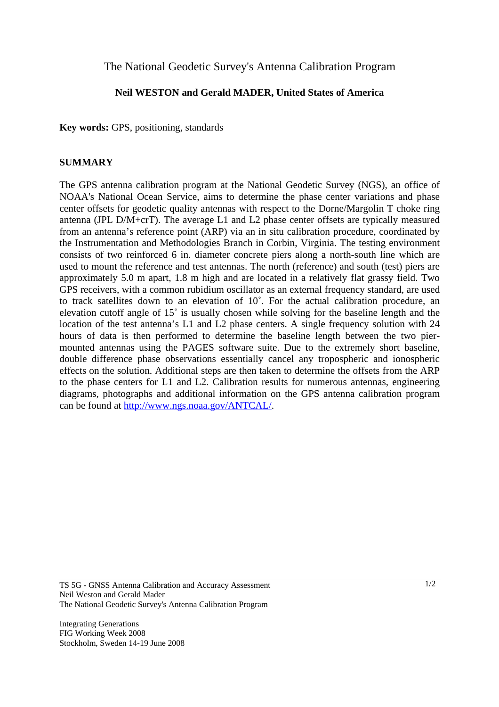## The National Geodetic Survey's Antenna Calibration Program

## **Neil WESTON and Gerald MADER, United States of America**

**Key words:** GPS, positioning, standards

## **SUMMARY**

The GPS antenna calibration program at the National Geodetic Survey (NGS), an office of NOAA's National Ocean Service, aims to determine the phase center variations and phase center offsets for geodetic quality antennas with respect to the Dorne/Margolin T choke ring antenna (JPL D/M+crT). The average L1 and L2 phase center offsets are typically measured from an antenna's reference point (ARP) via an in situ calibration procedure, coordinated by the Instrumentation and Methodologies Branch in Corbin, Virginia. The testing environment consists of two reinforced 6 in. diameter concrete piers along a north-south line which are used to mount the reference and test antennas. The north (reference) and south (test) piers are approximately 5.0 m apart, 1.8 m high and are located in a relatively flat grassy field. Two GPS receivers, with a common rubidium oscillator as an external frequency standard, are used to track satellites down to an elevation of 10˚. For the actual calibration procedure, an elevation cutoff angle of 15˚ is usually chosen while solving for the baseline length and the location of the test antenna's L1 and L2 phase centers. A single frequency solution with 24 hours of data is then performed to determine the baseline length between the two piermounted antennas using the PAGES software suite. Due to the extremely short baseline, double difference phase observations essentially cancel any tropospheric and ionospheric effects on the solution. Additional steps are then taken to determine the offsets from the ARP to the phase centers for L1 and L2. Calibration results for numerous antennas, engineering diagrams, photographs and additional information on the GPS antenna calibration program can be found at http://www.ngs.noaa.gov/ANTCAL/.

Integrating Generations FIG Working Week 2008 Stockholm, Sweden 14-19 June 2008

TS 5G - GNSS Antenna Calibration and Accuracy Assessment Neil Weston and Gerald Mader The National Geodetic Survey's Antenna Calibration Program